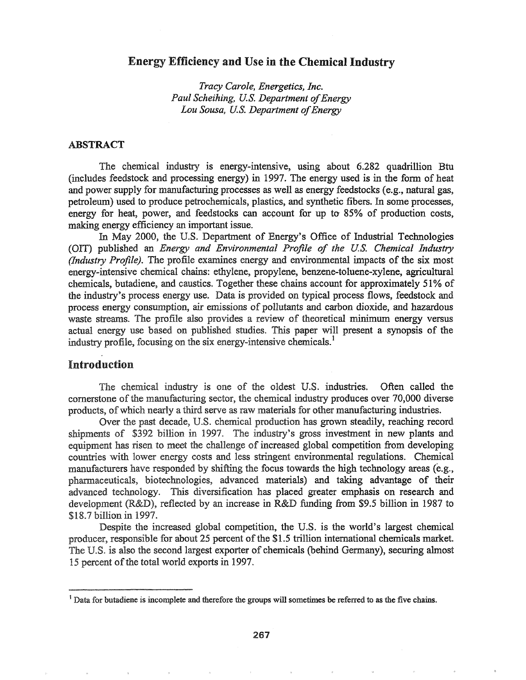# Energy Efficiency and Use in the Chemical Industry

*Tracy Carole, Energetics, Inc. Paul Scheihing, U.S. Department of Energy Lou Sousa, U.S. Department ofEnergy*

### ABSTRACT

The chemical industry is energy-intensive, using about 6.282 quadrillion Btu (includes feedstock and processing energy) in 1997.. The energy used is in the fonn of heat and power supply for manufacturing processes as well as energy feedstocks (e.g., natural gas, petroleum) used to produce petrochemicals, plastics, and synthetic fibers. In some processes, energy for heat, power, and feedstocks can account for up *to* 85% of production costs, making energy efficiency an important issue.

In May 2000, the U.S.. Department of Energy's Office of Industrial Technologies (OIT) published an *Energy and Environmental Profile of the UeS. Chemical Industry (Industry Profile).* The profile examines energy and environmental impacts of the six most energy-intensive chemical chains: ethylene, propylene, benzene-toluene-xylene, agricultural chemicals, butadiene, and caustics. Together these chains account for approximately 51% of the industry's process energy use. Data is provided on typical process flows, feedstock and process energy consumption, air emissions of pollutants and carbon dioxide, and hazardous waste streams. The profile also provides a review of theoretical minimum energy versus actual energy use based on published studies. This paper will present a synopsis of the industry profile, focusing on the six energy-intensive chemicals.<sup>1</sup>

# Introduction

The chemical industry is one of the oldest U.S. industries. Often called the cornerstone of the manufacturing sector, the chemical industry produces over 70,000 diverse products, of which nearly a third serve as raw materials for other manufacturing industries.

Over the past decade, U.S. chemical production has grown steadily, reaching record shipments of \$392 billion in 1997. The industry's gross investment in new plants and equipment has risen to meet the challenge of increased global competition from developing countries with lower energy costs and less stringent environmental regulations. Chemical manufacturers have responded by shifting the focus towards the high technology areas (e.g., pharmaceuticals, biotechnologies, advanced materials) and taking advantage of their advanced technology. This diversification has placed greater emphasis on research and development (R&D), reflected by an increase in R&D funding from \$9.5 billion in 1987 to \$18.7 billion in 1997.

Despite the increased global competition, the U.S. is the world's largest chemical producer, responsible for about 25 percent of the \$1.5 trillion international chemicals market. The U.S. is also the second largest exporter of chemicals (behind Germany), securing almost 15 percent of the total world exports in 1997.

<sup>&</sup>lt;sup>1</sup> Data for butadiene is incomplete and therefore the groups will sometimes be referred to as the five chains.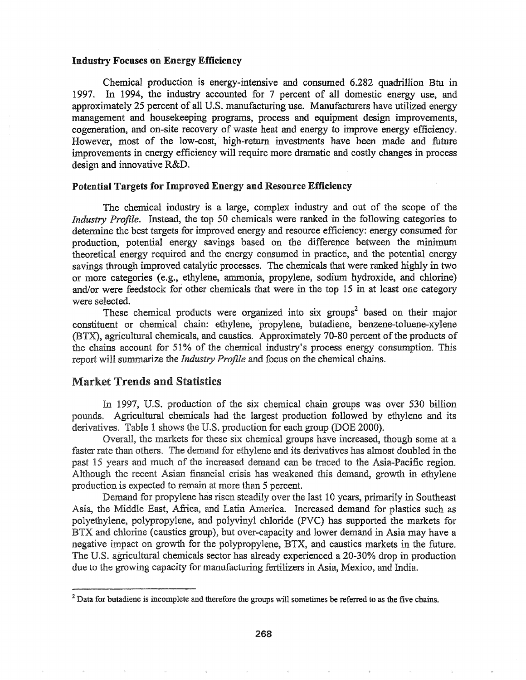#### Industry Focuses on Energy Efficiency

Chemical production is energy-intensive and consumed 6.282 quadrillion Btu in 1997. In 1994, the industry accounted for 7 percent of all domestic energy use, and approximately 25 percent of all U.S. manufacturing use. Manufacturers have utilized energy management and housekeeping programs, process and equipment design improvements, cogeneration, and on-site recovery of waste heat and energy to improve energy efficiency. However, most of the low-cost, high-return investments have been made and future improvements in energy efficiency will require more dramatic and costly changes in process design and innovative R&D.

#### Potential Targets for Improved Energy and Resource Efficiency

The chemical industry is a large, complex industry and out of the scope of the *Industry Profile.* Instead, the top 50 chemicals were ranked in the following categories to determine the best targets for improved energy and resource efficiency: energy consumed for production, potential energy savings based on the difference between the minimum theoretical energy required and the energy consumed in practice, and the potential energy savings through improved catalytic processes. The chemicals that were ranked highly in two or more categories (e.g., ethylene, ammonia, propylene, sodium hydroxide, and chlorine) and/or were feedstock for other chemicals that were in the top 15 in at least one category were selected.

These chemical products were organized into six groups<sup>2</sup> based on their major constituent or chemical chain: ethylene, propylene, butadiene, benzene-toluene-xylene (BTX), agricultural chemicals, and caustics. Approximately 70-80 percent of the products of the chains account for 51% of the chemical industry's process energy consumption. This report will summarize the *Industry Profile* and focus on the chemical chains.

## Market Trends and Statistics

In 1997, U.S. production of the six chemical chain groups was over 530 billion Agricultural chemicals had the largest production followed by ethylene and its derivatives. Table 1 shows the U.S. production for each group (DOE 2000).

Overall, the markets for these six chemical groups have increased, though some at a faster rate than others. The demand for ethylene and its derivatives has almost doubled in the past 15 years and much of the increased demand can be traced to the Asia-Pacific region. Although the recent Asian financial crisis has weakened this demand, growth in ethylene production is expected to remain at more than 5 percent.

Demand for propylene has risen steadily over the last 10 years, primarily in Southeast Asia, the Middle East, Africa, and Latin America. Increased demand for plastics such as polyethylene, polypropylene, and polyvinyl chloride (PVC) has supported the markets for BTX and chlorine (caustics group), but over-capacity and lower demand in Asia may have a negative impact on growth for the polypropylene, BTX, and caustics markets in the future. The U.S. agricultural chemicals sector has already experienced a 20-30% drop in production due to the growing capacity for manufacturing fertilizers in Asia, Mexico, and India.

 $2$  Data for butadiene is incomplete and therefore the groups will sometimes be referred to as the five chains.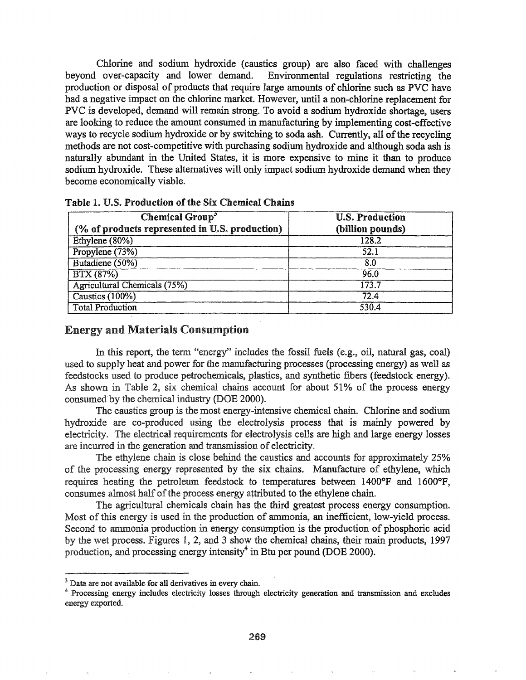Chlorine and sodium hydroxide (caustics group) are also faced with challenges beyond over-capacity and lower demand. Environmental regulations restricting the production or disposal of products that require large amounts of chlorine such as PVC have had a negative impact on the chlorine market. However, until a non-chlorine replacement for PVC is developed, demand will remain strong. To avoid a sodium hydroxide shortage, users are looking to reduce the amount consumed in manufacturing by implementing cost-effective wavs to recycle sodium hydroxide or by switching to soda ash. Currently, all of the recycling methods are not cost-competitive with purchasing sodium hydroxide and although soda ash is naturally abundant in the United States, it is more expensive to mine it than to produce sodium hydroxide. These alternatives will only impact sodium hydroxide demand when they become economjcally viable.

| <b>Chemical Group<sup>3</sup></b>              | <b>U.S. Production</b> |  |
|------------------------------------------------|------------------------|--|
| (% of products represented in U.S. production) | (billion pounds)       |  |
| Ethylene (80%)                                 | 128.2                  |  |
| Propylene (73%)                                | 52.1                   |  |
| Butadiene (50%)                                | 8.0                    |  |
| BTX (87%)                                      | 96.0                   |  |
| <b>Agricultural Chemicals (75%)</b>            | 173.7                  |  |
| Caustics (100%)                                | 72.4                   |  |
| <b>Total Production</b>                        | 530.4                  |  |

Table 1. U.S. Production of the Six Chemical Chains

### **Energy and Materials Consumption.**

In this report, the term "energy" includes the fossil fuels (e.g., oil, natural gas, coal) used to supply heat and power for the manufacturing processes (processing energy) as well as feedstocks used to produce petrochemicals, plastics, and synthetic fibers (feedstock energy). As shown in Table 2, six chemical chains account for about  $51\%$  of the process energy consumed by the chemical industry (DOE 2000).

The caustics group is the most energy-intensive chemical chain. Chlorine and sodium hydroxide are co-produced using the electrolysis process that is mainly powered by electricity. The electrical requirements for electrolysis cells are high and large energy losses are incurred in the generation and transmission of electricity.

The ethylene chain is close behind the caustics and accounts for approximately 25% of the processing energy represented by the six chains. Manufacture of ethylene, which requires heating the petroleum feedstock to temperatures between  $1400^{\circ}F$  and  $1600^{\circ}F$ , consumes almost half of the process energy attributed to the ethylene chain.

The agricultural chemicals chain has the third greatest process energy consumption. Most of this energy is used in the production of ammonia, an inefficient, low-yield process. Second to ammonia production in energy consumption is the production of phosphoric acid by the wet process. Figures 1, 2, and 3 show the chemical chains, their main products, 1997 production, and processing energy intensity<sup>4</sup> in Btu per pound (DOE 2000).

<sup>&</sup>lt;sup>3</sup> Data are not available for all derivatives in every chain.

<sup>4</sup> Processing energy includes electricity losses through electricity generation and transmission and excludes energy exported.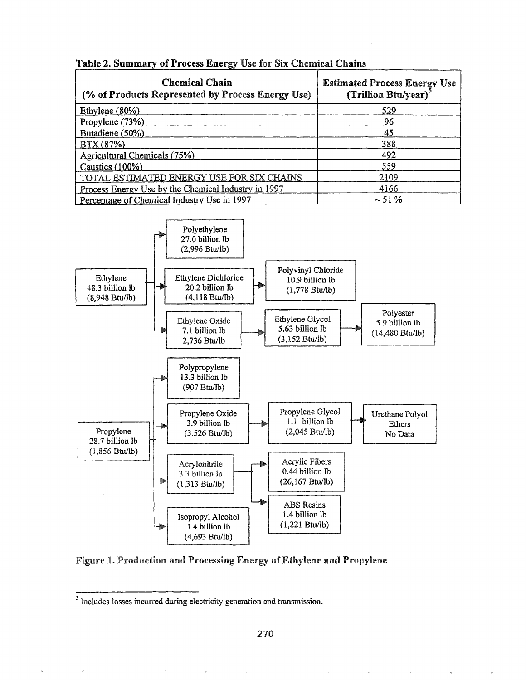| <b>Chemical Chain</b><br>(% of Products Represented by Process Energy Use) | <b>Estimated Process Energy Use</b><br>(Trillion Btu/year) <sup>3</sup> |  |
|----------------------------------------------------------------------------|-------------------------------------------------------------------------|--|
| Ethylene $(80%)$                                                           | 529                                                                     |  |
| Propylene $(73%)$                                                          | 96                                                                      |  |
| Butadiene (50%)                                                            | 45                                                                      |  |
| BTX (87%)                                                                  | 388                                                                     |  |
| Agricultural Chemicals (75%)                                               | 492                                                                     |  |
| Caustics (100%)                                                            | 559                                                                     |  |
| TOTAL ESTIMATED ENERGY USE FOR SIX CHAINS                                  | 2109                                                                    |  |
| Process Energy Use by the Chemical Industry in 1997                        | 4166                                                                    |  |
| Percentage of Chemical Industry Use in 1997                                | $\sim$ 51 %                                                             |  |

### Table 2. Summary of Process Energy Use for Six Chemical Chains



## Figure 1. Production and Processing Energy of Ethylene and Propylene

<sup>&</sup>lt;sup>5</sup> Includes losses incurred during electricity generation and transmission.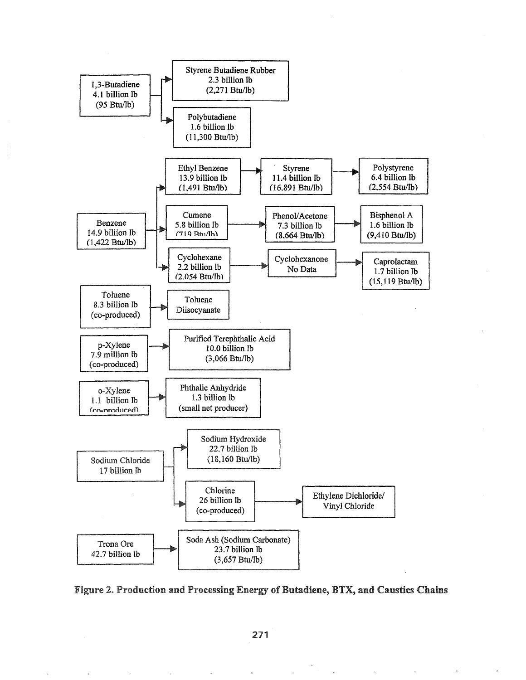

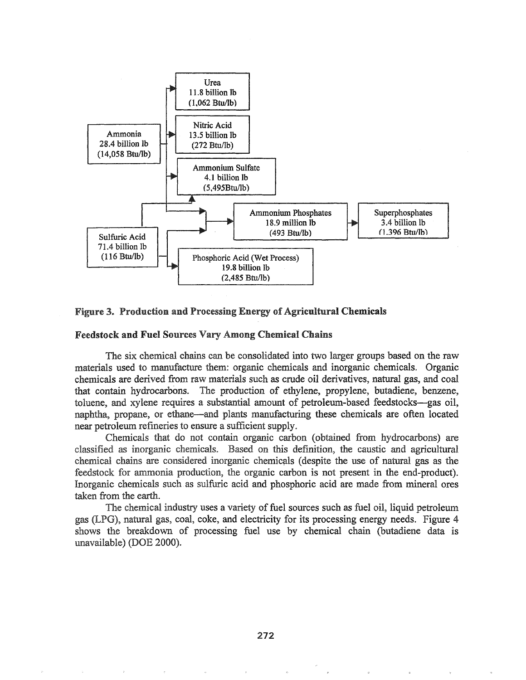



### Feedstock and Fuel Sources Vary Among Chemical Chains

The six chemical chains can be consolidated into two larger groups based on the raw materials used to manufacture them: organic chemicals and inorganic chemicals. Organic chemicals are derived from raw materials such as crude oil derivatives, natural gas, and coal that contain hydrocarbons. The production of ethylene, propylene, butadiene, benzene, toluene, and xylene requires a substantial amount of petroleum-based feedstocks-gas oil, naphtha, propane, or ethane—and plants manufacturing these chemicals are often located near petroleum refineries to ensure a sufficient supply.

Chemicals that do not contain organic carbon (obtained from hydrocarbons) are classified as inorganic chemicals. Based on this definition, the caustic and agricultural chemical chains are considered inorganic chemicals (despite the use of natural gas as the feedstock for ammonia production, the organic carbon is not present in the end-product). Inorganic chemicals such as sulfuric acid and phosphoric acid are made from mineral ores taken from the earth.

The chemical industry uses a variety of fuel sources such as fuel oil, liquid petroleum gas (LPG), natural gas, coal, coke, and electricity for its processing energy needs. Figure 4 shows the breakdown of processing fuel use by chemical chain (butadiene data is unavailable) (DOE 2000).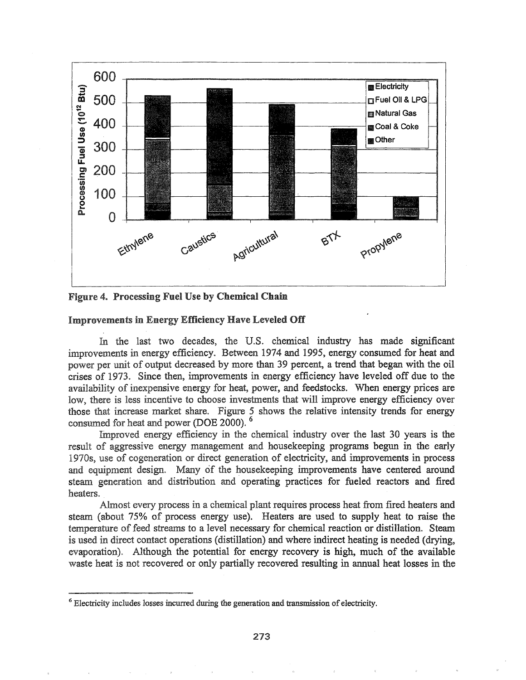

Figure 4. Processing Fuel Use by Chemical Chain

#### **Improvements in Energy Efficiency Have Leveled Off**

In the last two decades, the U.S. chemical industry has made significant improvements in energy efficiency. Between 1974 and 1995, energy consumed for heat and power per unit of output decreased by more than 39 percent, a trend that began with the oil crises of 1973. Since then, improvements in energy efficiency have leveled off due to the availability of inexpensive energy for heat, power, and feedstocks. When energy prices are low, there is less incentive to choose investments that will improve energy efficiency over those that increase market share. Figure 5 shows the relative intensity trends for energy consumed for heat and power (DOE 2000).

Improved energy efficiency in the chemical industry over the last 30 years is the result of aggressive energy management and housekeeping programs begun in the early 1970s, use of cogeneration or direct generation of electricity, and improvements in process and equipment design. Many of the house keeping improvements have centered around steam generation and distribution and operating practices for fueled reactors and fired heaters.

Almost every process in a chemical plant requires process heat from fired heaters and steam (about 75% of process energy use). Heaters are used to supply heat to raise the temperature of feed streams to a level necessary for chemical reaction or distillation. Steam is used in direct contact operations (distillation) and where indirect heating is needed (drying, evaporation). Although the potential for energy recovery is high, much of the available waste heat is not recovered or only partially recovered resulting in annual heat losses in the

<sup>&</sup>lt;sup>6</sup> Electricity includes losses incurred during the generation and transmission of electricity.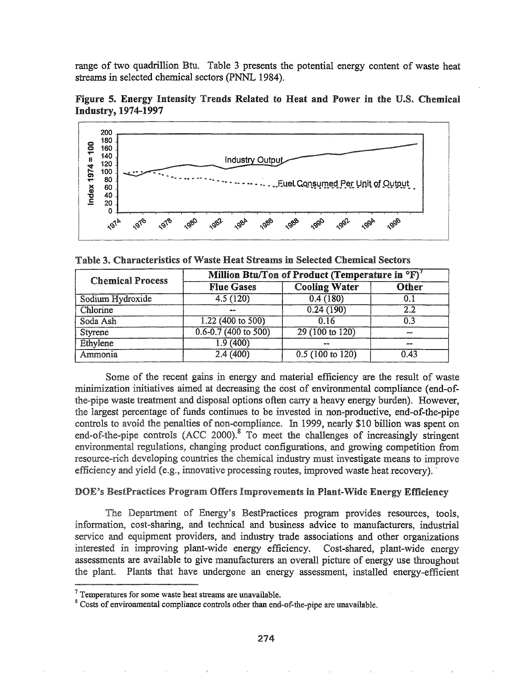range of two quadrillion Btu. Table 3 presents the potential energy content of waste heat streams in selected chemical sectors (PNNL 1984).

Figure 5. Energy Intensity Trends Related to Heat and Power in the U.S. Chemical **Industry, 1974-1997** 



Table 3. Characteristics of Waste Heat Streams in Selected Chemical Sectors

| <b>Chemical Process</b> | Million Btu/Ton of Product (Temperature in °F) |                           |              |
|-------------------------|------------------------------------------------|---------------------------|--------------|
|                         | <b>Flue Gases</b>                              | <b>Cooling Water</b>      | Other        |
| Sodium Hydroxide        | 4.5(120)                                       | 0.4(180)                  |              |
| Chlorine                |                                                | 0.24(190)                 | 2.2          |
| Soda Ash                | $1.22(400 \text{ to } 500)$                    | 0.16                      | 0.3          |
| Styrene                 | $0.6 - 0.7$ (400 to 500)                       | $29(100 \text{ to } 120)$ |              |
| Ethylene                | 1.9(400)                                       | 100,000                   | <b>SPACE</b> |
| Ammonia                 | 2.4(400)                                       | 0.5(100 to 120)           | 0.43         |

Some of the recent gains in energy and material efficiency are the result of waste minimization initiatives aimed at decreasing the cost of environmental compliance (end-ofthe-pipe waste treatment and disposal options often carry a heavy energy burden). However, the largest percentage of funds continues to be invested in non-productive, end-of-the-pipe controls to avoid the penalties of non-compliance. In 1999, nearly \$10 billion was spent on end-of-the-pipe controls (ACC 2000).<sup>8</sup> To meet the challenges of increasingly stringent environmental regulations, changing product configurations, and growing competition from resource-rich developing countries the chemical industry must investigate means to improve efficiency and yield (e.g., innovative processing routes, improved waste heat recovery).

### DOE's BestPractices Program Offers Improvements in Plant-Wide Energy Efficiency

The Department of Energy's BestPractices program provides resources, tools, information, cost-sharing, and technical and business advice to manufacturers, industrial service and equipment providers, and industry trade associations and other organizations interested in improving plant-wide energy efficiency. Cost-shared, plant-wide energy assessments are available to give manufacturers an overall picture of energy use throughout the plant. Plants that have undergone an energy assessment, installed energy-efficient

 $7$  Temperatures for some waste heat streams are unavailable.

<sup>&</sup>lt;sup>8</sup> Costs of environmental compliance controls other than end-of-the-pipe are unavailable.